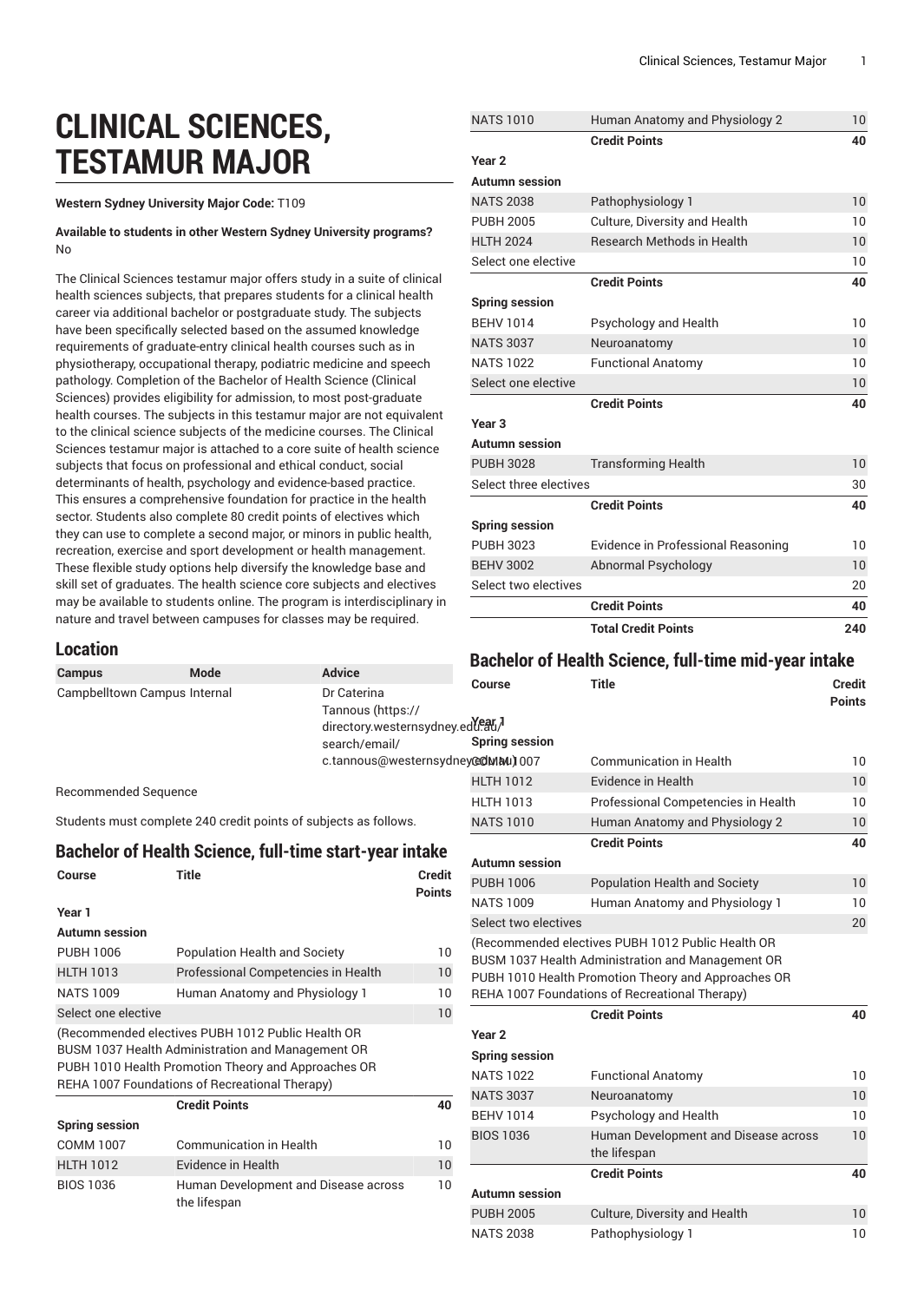# **CLINICAL SCIENCES, TESTAMUR MAJOR**

#### **Western Sydney University Major Code:** T109

#### **Available to students in other Western Sydney University programs?** No

The Clinical Sciences testamur major offers study in a suite of clinical health sciences subjects, that prepares students for a clinical health career via additional bachelor or postgraduate study. The subjects have been specifically selected based on the assumed knowledge requirements of graduate-entry clinical health courses such as in physiotherapy, occupational therapy, podiatric medicine and speech pathology. Completion of the Bachelor of Health Science (Clinical Sciences) provides eligibility for admission, to most post-graduate health courses. The subjects in this testamur major are not equivalent to the clinical science subjects of the medicine courses. The Clinical Sciences testamur major is attached to a core suite of health science subjects that focus on professional and ethical conduct, social determinants of health, psychology and evidence-based practice. This ensures a comprehensive foundation for practice in the health sector. Students also complete 80 credit points of electives which they can use to complete a second major, or minors in public health, recreation, exercise and sport development or health management. These flexible study options help diversify the knowledge base and skill set of graduates. The health science core subjects and electives may be available to students online. The program is interdisciplinary in nature and travel between campuses for classes may be required.

the lifespan

### NATS 1010 Human Anatomy and Physiology 2 10 **Credit Points 40 Year 2 Autumn session** NATS 2038 Pathophysiology 1 10 PUBH 2005 Culture, Diversity and Health 10 HLTH 2024 Research Methods in Health 10 Select one elective 10 **Credit Points 40 Spring session** BEHV 1014 Psychology and Health 10 NATS 3037 Neuroanatomy 10 NATS 1022 Functional Anatomy 10 Select one elective 10 **Credit Points 40 Year 3 Autumn session** PUBH 3028 Transforming Health 10 Select three electives 30 **Credit Points 40 Spring session** PUBH 3023 Evidence in Professional Reasoning 10 BEHV 3002 Abnormal Psychology 10 Select two electives 20 **Credit Points 40 Total Credit Points 240**

#### **Location**

|                                                                                   |                                                                                                                                                                                                                 |                                   |                                                                | <b>Bachelor of Health Science, full-time mid-year intake</b> |               |
|-----------------------------------------------------------------------------------|-----------------------------------------------------------------------------------------------------------------------------------------------------------------------------------------------------------------|-----------------------------------|----------------------------------------------------------------|--------------------------------------------------------------|---------------|
| <b>Campus</b>                                                                     | <b>Advice</b><br>Mode                                                                                                                                                                                           |                                   | Course                                                         | <b>Title</b>                                                 | <b>Credit</b> |
| Campbelltown Campus Internal<br>Dr Caterina<br>Tannous (https://<br>search/email/ |                                                                                                                                                                                                                 | directory.westernsydney.ed(ear)   | <b>Spring session</b>                                          |                                                              | <b>Points</b> |
|                                                                                   |                                                                                                                                                                                                                 | c.tannous@westernsydney@dMMu) 007 |                                                                | <b>Communication in Health</b>                               | 10            |
|                                                                                   |                                                                                                                                                                                                                 |                                   | <b>HLTH 1012</b>                                               | <b>Evidence in Health</b>                                    | 10            |
| <b>Recommended Sequence</b>                                                       |                                                                                                                                                                                                                 |                                   | <b>HLTH 1013</b>                                               | Professional Competencies in Health                          | 10            |
|                                                                                   | Students must complete 240 credit points of subjects as follows.                                                                                                                                                |                                   | <b>NATS 1010</b>                                               | Human Anatomy and Physiology 2                               | 10            |
|                                                                                   | <b>Bachelor of Health Science, full-time start-year intake</b>                                                                                                                                                  |                                   | <b>Autumn session</b>                                          | <b>Credit Points</b>                                         | 40            |
| Course                                                                            | <b>Title</b>                                                                                                                                                                                                    | <b>Credit</b>                     | <b>PUBH 1006</b>                                               | <b>Population Health and Society</b>                         | 10            |
|                                                                                   |                                                                                                                                                                                                                 | <b>Points</b>                     | <b>NATS 1009</b>                                               | Human Anatomy and Physiology 1                               | 10            |
| Year 1<br><b>Autumn session</b>                                                   |                                                                                                                                                                                                                 |                                   | Select two electives                                           |                                                              | 20            |
|                                                                                   |                                                                                                                                                                                                                 |                                   |                                                                | (Recommended electives PUBH 1012 Public Health OR            |               |
| <b>Population Health and Society</b><br><b>PUBH 1006</b>                          |                                                                                                                                                                                                                 | 10                                |                                                                | BUSM 1037 Health Administration and Management OR            |               |
| <b>HLTH 1013</b><br><b>NATS 1009</b>                                              | Professional Competencies in Health                                                                                                                                                                             |                                   | 10<br>PUBH 1010 Health Promotion Theory and Approaches OR      |                                                              |               |
| Select one elective                                                               | Human Anatomy and Physiology 1                                                                                                                                                                                  | 10<br>10                          | REHA 1007 Foundations of Recreational Therapy)                 |                                                              |               |
|                                                                                   | (Recommended electives PUBH 1012 Public Health OR<br>BUSM 1037 Health Administration and Management OR<br>PUBH 1010 Health Promotion Theory and Approaches OR<br>REHA 1007 Foundations of Recreational Therapy) |                                   | Year <sub>2</sub><br><b>Spring session</b><br><b>NATS 1022</b> | <b>Credit Points</b><br><b>Functional Anatomy</b>            | 40<br>10      |
|                                                                                   | <b>Credit Points</b>                                                                                                                                                                                            | 40                                | <b>NATS 3037</b>                                               | Neuroanatomy                                                 | 10            |
| <b>Spring session</b>                                                             |                                                                                                                                                                                                                 |                                   | <b>BEHV 1014</b>                                               | Psychology and Health                                        | 10            |
| <b>COMM 1007</b>                                                                  | <b>Communication in Health</b>                                                                                                                                                                                  | 10                                | <b>BIOS 1036</b>                                               | Human Development and Disease across<br>the lifespan         | 10            |
| <b>HLTH 1012</b>                                                                  | Evidence in Health                                                                                                                                                                                              | 10                                |                                                                | <b>Credit Points</b>                                         | 40            |
| <b>BIOS 1036</b>                                                                  | Human Development and Disease across                                                                                                                                                                            | 10                                | Autumn session                                                 |                                                              |               |

PUBH 2005 Culture, Diversity and Health 10 NATS 2038 Pathophysiology 1 10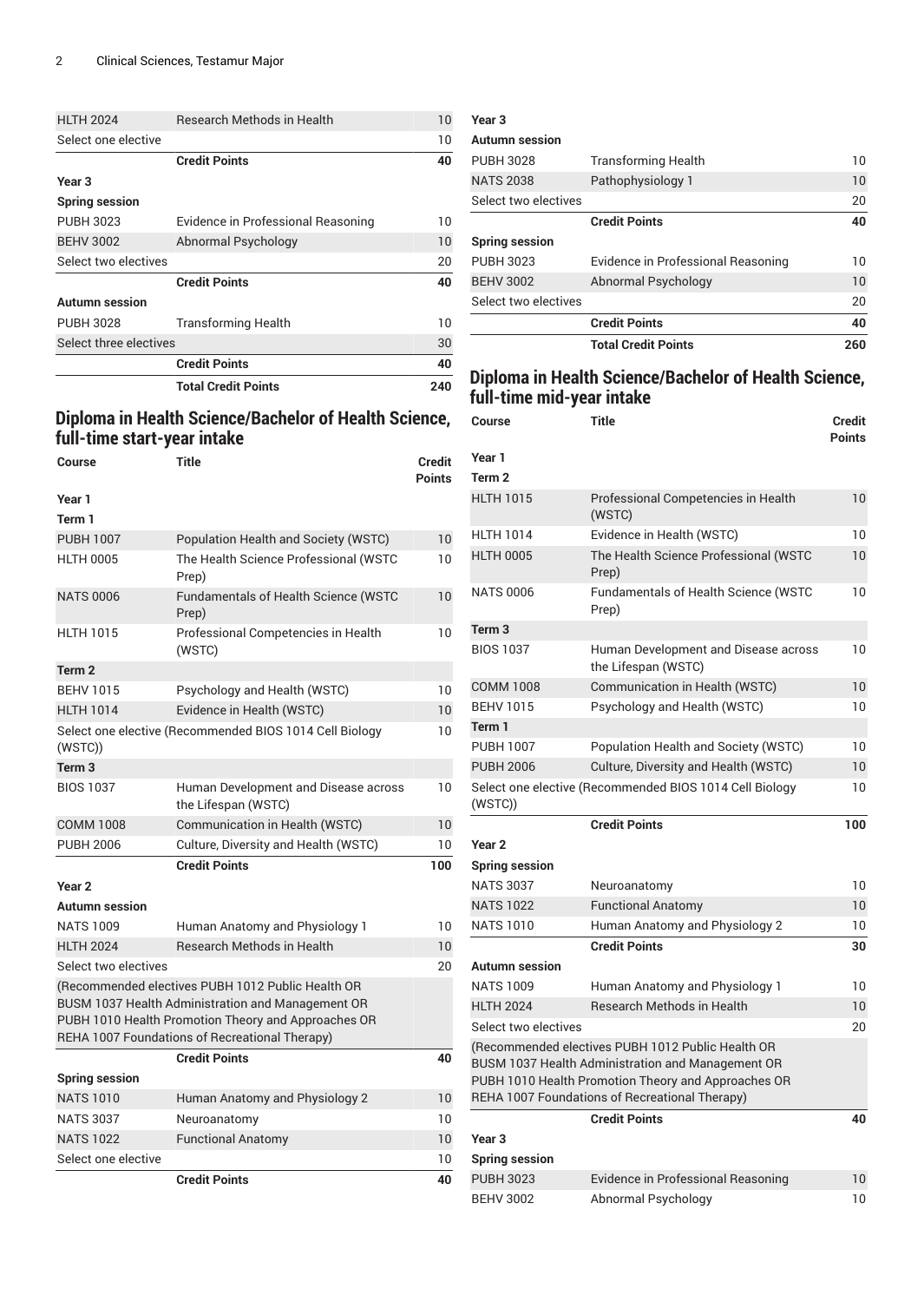| <b>HLTH 2024</b>       | <b>Research Methods in Health</b>  | 10  |
|------------------------|------------------------------------|-----|
| Select one elective    |                                    | 10  |
|                        | <b>Credit Points</b>               | 40  |
| Year <sub>3</sub>      |                                    |     |
| <b>Spring session</b>  |                                    |     |
| <b>PUBH 3023</b>       | Evidence in Professional Reasoning | 10  |
| <b>BEHV 3002</b>       | Abnormal Psychology                | 10  |
| Select two electives   |                                    | 20  |
|                        | <b>Credit Points</b>               | 40  |
| <b>Autumn</b> session  |                                    |     |
| <b>PUBH 3028</b>       | <b>Transforming Health</b>         | 10  |
| Select three electives |                                    | 30  |
|                        | <b>Credit Points</b>               | 40  |
|                        | <b>Total Credit Points</b>         | 240 |

# **Diploma in Health Science/Bachelor of Health Science, full-time start-year intake**

| Course                | Title                                                                                                                                                                                                           | Credit<br><b>Points</b> |
|-----------------------|-----------------------------------------------------------------------------------------------------------------------------------------------------------------------------------------------------------------|-------------------------|
| Year 1                |                                                                                                                                                                                                                 |                         |
| Term 1                |                                                                                                                                                                                                                 |                         |
| <b>PUBH 1007</b>      | Population Health and Society (WSTC)                                                                                                                                                                            | 10                      |
| <b>HLTH 0005</b>      | The Health Science Professional (WSTC<br>Prep)                                                                                                                                                                  | 10                      |
| <b>NATS 0006</b>      | <b>Fundamentals of Health Science (WSTC</b><br>Prep)                                                                                                                                                            | 10                      |
| <b>HLTH 1015</b>      | Professional Competencies in Health<br>(WSTC)                                                                                                                                                                   | 10                      |
| Term <sub>2</sub>     |                                                                                                                                                                                                                 |                         |
| <b>BEHV 1015</b>      | Psychology and Health (WSTC)                                                                                                                                                                                    | 10                      |
| <b>HLTH 1014</b>      | Evidence in Health (WSTC)                                                                                                                                                                                       | 10                      |
| (WSTC)                | Select one elective (Recommended BIOS 1014 Cell Biology                                                                                                                                                         | 10                      |
| Term <sub>3</sub>     |                                                                                                                                                                                                                 |                         |
| <b>BIOS 1037</b>      | Human Development and Disease across<br>the Lifespan (WSTC)                                                                                                                                                     | 10                      |
| <b>COMM 1008</b>      | Communication in Health (WSTC)                                                                                                                                                                                  | 10                      |
| <b>PUBH 2006</b>      | Culture, Diversity and Health (WSTC)                                                                                                                                                                            | 10                      |
|                       | <b>Credit Points</b>                                                                                                                                                                                            | 100                     |
| Year <sub>2</sub>     |                                                                                                                                                                                                                 |                         |
| <b>Autumn session</b> |                                                                                                                                                                                                                 |                         |
| <b>NATS 1009</b>      | Human Anatomy and Physiology 1                                                                                                                                                                                  | 10                      |
| <b>HLTH 2024</b>      | <b>Research Methods in Health</b>                                                                                                                                                                               | 10                      |
| Select two electives  |                                                                                                                                                                                                                 | 20                      |
|                       | (Recommended electives PUBH 1012 Public Health OR<br>BUSM 1037 Health Administration and Management OR<br>PUBH 1010 Health Promotion Theory and Approaches OR<br>REHA 1007 Foundations of Recreational Therapy) |                         |
|                       | <b>Credit Points</b>                                                                                                                                                                                            | 40                      |
| <b>Spring session</b> |                                                                                                                                                                                                                 |                         |
| <b>NATS 1010</b>      | Human Anatomy and Physiology 2                                                                                                                                                                                  | 10                      |
| <b>NATS 3037</b>      | Neuroanatomy                                                                                                                                                                                                    | 10                      |
| <b>NATS 1022</b>      | <b>Functional Anatomy</b>                                                                                                                                                                                       | 10                      |
| Select one elective   |                                                                                                                                                                                                                 | 10                      |
|                       | <b>Credit Points</b>                                                                                                                                                                                            | 40                      |

#### **Year 3**

| <b>Autumn session</b> |                                    |     |
|-----------------------|------------------------------------|-----|
| <b>PUBH 3028</b>      | <b>Transforming Health</b>         | 10  |
| <b>NATS 2038</b>      | Pathophysiology 1                  | 10  |
| Select two electives  |                                    | 20  |
|                       | <b>Credit Points</b>               | 40  |
| <b>Spring session</b> |                                    |     |
| <b>PUBH 3023</b>      | Evidence in Professional Reasoning | 10  |
| <b>BEHV 3002</b>      | Abnormal Psychology                | 10  |
| Select two electives  |                                    | 20  |
|                       | <b>Credit Points</b>               | 40  |
|                       | <b>Total Credit Points</b>         | 260 |

## **Diploma in Health Science/Bachelor of Health Science, full-time mid-year intake**

| Course                | Title                                                                                                                                                                                                           | Credit<br><b>Points</b> |
|-----------------------|-----------------------------------------------------------------------------------------------------------------------------------------------------------------------------------------------------------------|-------------------------|
| Year 1                |                                                                                                                                                                                                                 |                         |
| Term 2                |                                                                                                                                                                                                                 |                         |
| <b>HLTH 1015</b>      | Professional Competencies in Health<br>(WSTC)                                                                                                                                                                   | 10                      |
| <b>HLTH 1014</b>      | Evidence in Health (WSTC)                                                                                                                                                                                       | 10                      |
| <b>HLTH 0005</b>      | The Health Science Professional (WSTC<br>Prep)                                                                                                                                                                  | 10                      |
| <b>NATS 0006</b>      | <b>Fundamentals of Health Science (WSTC</b><br>Prep)                                                                                                                                                            | 10                      |
| Term <sub>3</sub>     |                                                                                                                                                                                                                 |                         |
| <b>BIOS 1037</b>      | Human Development and Disease across<br>the Lifespan (WSTC)                                                                                                                                                     | 10                      |
| <b>COMM 1008</b>      | Communication in Health (WSTC)                                                                                                                                                                                  | 10                      |
| <b>BEHV 1015</b>      | Psychology and Health (WSTC)                                                                                                                                                                                    | 10                      |
| Term 1                |                                                                                                                                                                                                                 |                         |
| <b>PUBH 1007</b>      | Population Health and Society (WSTC)                                                                                                                                                                            | 10                      |
| <b>PUBH 2006</b>      | Culture, Diversity and Health (WSTC)                                                                                                                                                                            | 10                      |
| (WSTC)                | Select one elective (Recommended BIOS 1014 Cell Biology                                                                                                                                                         | 10                      |
|                       | <b>Credit Points</b>                                                                                                                                                                                            | 100                     |
| Year <sub>2</sub>     |                                                                                                                                                                                                                 |                         |
| <b>Spring session</b> |                                                                                                                                                                                                                 |                         |
| <b>NATS 3037</b>      | Neuroanatomy                                                                                                                                                                                                    | 10                      |
| <b>NATS 1022</b>      | <b>Functional Anatomy</b>                                                                                                                                                                                       | 10                      |
| <b>NATS 1010</b>      | Human Anatomy and Physiology 2                                                                                                                                                                                  | 10                      |
|                       | <b>Credit Points</b>                                                                                                                                                                                            | 30                      |
| <b>Autumn session</b> |                                                                                                                                                                                                                 |                         |
| <b>NATS 1009</b>      | Human Anatomy and Physiology 1                                                                                                                                                                                  | 10                      |
| <b>HLTH 2024</b>      | <b>Research Methods in Health</b>                                                                                                                                                                               | 10                      |
| Select two electives  |                                                                                                                                                                                                                 | 20                      |
|                       |                                                                                                                                                                                                                 |                         |
|                       | (Recommended electives PUBH 1012 Public Health OR<br>BUSM 1037 Health Administration and Management OR<br>PUBH 1010 Health Promotion Theory and Approaches OR<br>REHA 1007 Foundations of Recreational Therapy) |                         |
|                       | <b>Credit Points</b>                                                                                                                                                                                            | 40                      |
| Year <sub>3</sub>     |                                                                                                                                                                                                                 |                         |
| <b>Spring session</b> |                                                                                                                                                                                                                 |                         |
| <b>PUBH 3023</b>      | Evidence in Professional Reasoning                                                                                                                                                                              | 10                      |